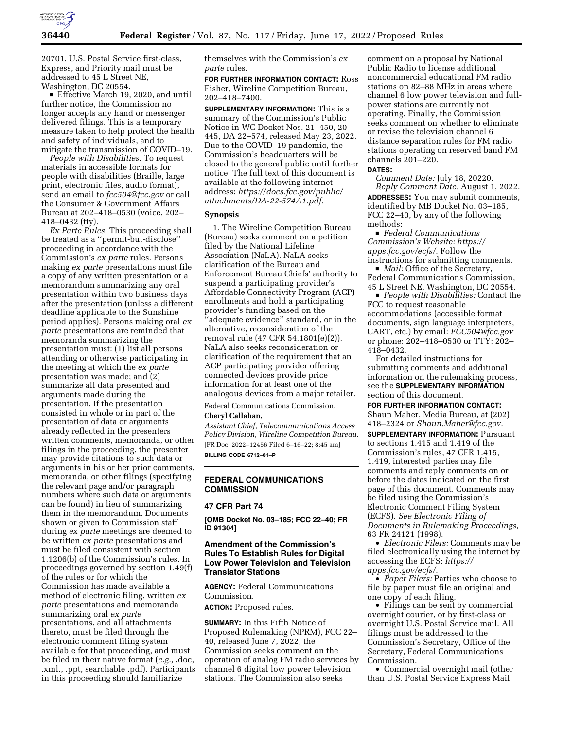

20701. U.S. Postal Service first-class, Express, and Priority mail must be addressed to 45 L Street NE, Washington, DC 20554.

Effective March 19, 2020, and until further notice, the Commission no longer accepts any hand or messenger delivered filings. This is a temporary measure taken to help protect the health and safety of individuals, and to mitigate the transmission of COVID–19.

*People with Disabilities.* To request materials in accessible formats for people with disabilities (Braille, large print, electronic files, audio format), send an email to *[fcc504@fcc.gov](mailto:fcc504@fcc.gov)* or call the Consumer & Government Affairs Bureau at 202–418–0530 (voice, 202– 418–0432 (tty).

*Ex Parte Rules.* This proceeding shall be treated as a ''permit-but-disclose'' proceeding in accordance with the Commission's *ex parte* rules. Persons making *ex parte* presentations must file a copy of any written presentation or a memorandum summarizing any oral presentation within two business days after the presentation (unless a different deadline applicable to the Sunshine period applies). Persons making oral *ex parte* presentations are reminded that memoranda summarizing the presentation must: (1) list all persons attending or otherwise participating in the meeting at which the *ex parte*  presentation was made; and (2) summarize all data presented and arguments made during the presentation. If the presentation consisted in whole or in part of the presentation of data or arguments already reflected in the presenters written comments, memoranda, or other filings in the proceeding, the presenter may provide citations to such data or arguments in his or her prior comments, memoranda, or other filings (specifying the relevant page and/or paragraph numbers where such data or arguments can be found) in lieu of summarizing them in the memorandum. Documents shown or given to Commission staff during *ex parte* meetings are deemed to be written *ex parte* presentations and must be filed consistent with section 1.1206(b) of the Commission's rules. In proceedings governed by section 1.49(f) of the rules or for which the Commission has made available a method of electronic filing, written *ex parte* presentations and memoranda summarizing oral *ex parte*  presentations, and all attachments thereto, must be filed through the electronic comment filing system available for that proceeding, and must be filed in their native format (*e.g.,* .doc, .xml., .ppt, searchable .pdf). Participants in this proceeding should familiarize

themselves with the Commission's *ex parte* rules.

**FOR FURTHER INFORMATION CONTACT:** Ross Fisher, Wireline Competition Bureau, 202–418–7400.

**SUPPLEMENTARY INFORMATION:** This is a summary of the Commission's Public Notice in WC Docket Nos. 21–450, 20– 445, DA 22–574, released May 23, 2022. Due to the COVID–19 pandemic, the Commission's headquarters will be closed to the general public until further notice. The full text of this document is available at the following internet address: *[https://docs.fcc.gov/public/](https://docs.fcc.gov/public/attachments/DA-22-574A1.pdf) [attachments/DA-22-574A1.pdf.](https://docs.fcc.gov/public/attachments/DA-22-574A1.pdf)* 

#### **Synopsis**

1. The Wireline Competition Bureau (Bureau) seeks comment on a petition filed by the National Lifeline Association (NaLA). NaLA seeks clarification of the Bureau and Enforcement Bureau Chiefs' authority to suspend a participating provider's Affordable Connectivity Program (ACP) enrollments and hold a participating provider's funding based on the ''adequate evidence'' standard, or in the alternative, reconsideration of the removal rule (47 CFR 54.1801(e)(2)). NaLA also seeks reconsideration or clarification of the requirement that an ACP participating provider offering connected devices provide price information for at least one of the analogous devices from a major retailer.

Federal Communications Commission. **Cheryl Callahan,** 

*Assistant Chief, Telecommunications Access Policy Division, Wireline Competition Bureau.*  [FR Doc. 2022–12456 Filed 6–16–22; 8:45 am] **BILLING CODE 6712–01–P** 

## **FEDERAL COMMUNICATIONS COMMISSION**

#### **47 CFR Part 74**

**[OMB Docket No. 03–185; FCC 22–40; FR ID 91304]** 

# **Amendment of the Commission's Rules To Establish Rules for Digital Low Power Television and Television Translator Stations**

**AGENCY:** Federal Communications Commission.

# **ACTION:** Proposed rules.

**SUMMARY:** In this Fifth Notice of Proposed Rulemaking (NPRM), FCC 22– 40, released June 7, 2022, the Commission seeks comment on the operation of analog FM radio services by channel 6 digital low power television stations. The Commission also seeks

comment on a proposal by National Public Radio to license additional noncommercial educational FM radio stations on 82–88 MHz in areas where channel 6 low power television and fullpower stations are currently not operating. Finally, the Commission seeks comment on whether to eliminate or revise the television channel 6 distance separation rules for FM radio stations operating on reserved band FM channels 201–220.

#### **DATES:**

*Comment Date:* July 18, 20220. *Reply Comment Date:* August 1, 2022. **ADDRESSES:** You may submit comments, identified by MB Docket No. 03–185, FCC 22–40, by any of the following methods:

D *Federal Communications Commission's Website: [https://](https://apps.fcc.gov/ecfs/) [apps.fcc.gov/ecfs/.](https://apps.fcc.gov/ecfs/)* Follow the instructions for submitting comments.

■ *Mail:* Office of the Secretary, Federal Communications Commission, 45 L Street NE, Washington, DC 20554.

**People with Disabilities: Contact the** FCC to request reasonable accommodations (accessible format documents, sign language interpreters, CART, etc.) by email: *[FCC504@fcc.gov](mailto:FCC504@fcc.gov)*  or phone: 202–418–0530 or TTY: 202– 418–0432.

For detailed instructions for submitting comments and additional information on the rulemaking process, see the **SUPPLEMENTARY INFORMATION** section of this document.

**FOR FURTHER INFORMATION CONTACT:**  Shaun Maher, Media Bureau, at (202) 418–2324 or *[Shaun.Maher@fcc.gov.](mailto:Shaun.Maher@fcc.gov)* 

**SUPPLEMENTARY INFORMATION:** Pursuant to sections 1.415 and 1.419 of the Commission's rules, 47 CFR 1.415, 1.419, interested parties may file comments and reply comments on or before the dates indicated on the first page of this document. Comments may be filed using the Commission's Electronic Comment Filing System (ECFS). *See Electronic Filing of Documents in Rulemaking Proceedings,*  63 FR 24121 (1998).

• *Electronic Filers:* Comments may be filed electronically using the internet by accessing the ECFS: *[https://](https://apps.fcc.gov/ecfs/) [apps.fcc.gov/ecfs/.](https://apps.fcc.gov/ecfs/)* 

• *Paper Filers:* Parties who choose to file by paper must file an original and one copy of each filing.

• Filings can be sent by commercial overnight courier, or by first-class or overnight U.S. Postal Service mail. All filings must be addressed to the Commission's Secretary, Office of the Secretary, Federal Communications Commission.

• Commercial overnight mail (other than U.S. Postal Service Express Mail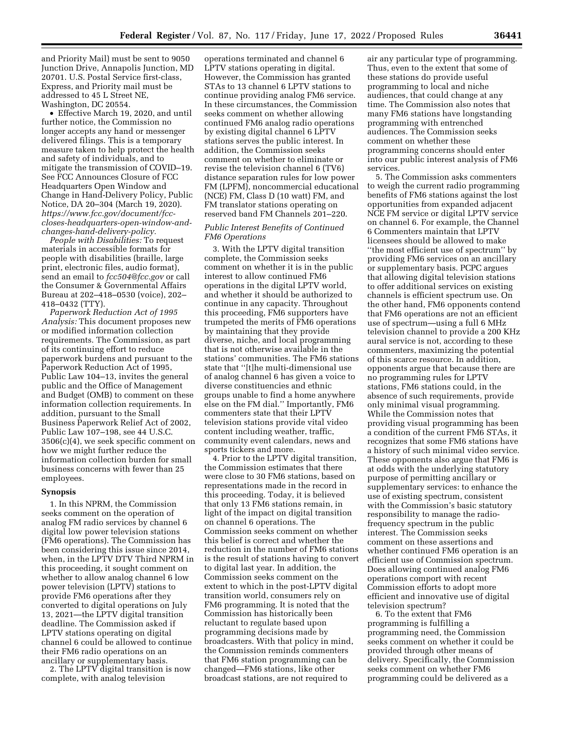and Priority Mail) must be sent to 9050 Junction Drive, Annapolis Junction, MD 20701. U.S. Postal Service first-class, Express, and Priority mail must be addressed to 45 L Street NE, Washington, DC 20554.

• Effective March 19, 2020, and until further notice, the Commission no longer accepts any hand or messenger delivered filings. This is a temporary measure taken to help protect the health and safety of individuals, and to mitigate the transmission of COVID–19. See FCC Announces Closure of FCC Headquarters Open Window and Change in Hand-Delivery Policy, Public Notice, DA 20–304 (March 19, 2020). *[https://www.fcc.gov/document/fcc](https://www.fcc.gov/document/fcc-closes-headquarters-open-window-and-changes-hand-delivery-policy)[closes-headquarters-open-window-and](https://www.fcc.gov/document/fcc-closes-headquarters-open-window-and-changes-hand-delivery-policy)[changes-hand-delivery-policy.](https://www.fcc.gov/document/fcc-closes-headquarters-open-window-and-changes-hand-delivery-policy)* 

*People with Disabilities:* To request materials in accessible formats for people with disabilities (braille, large print, electronic files, audio format), send an email to *[fcc504@fcc.gov](mailto:fcc504@fcc.gov)* or call the Consumer & Governmental Affairs Bureau at 202–418–0530 (voice), 202– 418–0432 (TTY).

*Paperwork Reduction Act of 1995 Analysis:* This document proposes new or modified information collection requirements. The Commission, as part of its continuing effort to reduce paperwork burdens and pursuant to the Paperwork Reduction Act of 1995, Public Law 104–13, invites the general public and the Office of Management and Budget (OMB) to comment on these information collection requirements. In addition, pursuant to the Small Business Paperwork Relief Act of 2002, Public Law 107–198, see 44 U.S.C. 3506(c)(4), we seek specific comment on how we might further reduce the information collection burden for small business concerns with fewer than 25 employees.

### **Synopsis**

1. In this NPRM, the Commission seeks comment on the operation of analog FM radio services by channel 6 digital low power television stations (FM6 operations). The Commission has been considering this issue since 2014, when, in the LPTV DTV Third NPRM in this proceeding, it sought comment on whether to allow analog channel 6 low power television (LPTV) stations to provide FM6 operations after they converted to digital operations on July 13, 2021—the LPTV digital transition deadline. The Commission asked if LPTV stations operating on digital channel 6 could be allowed to continue their FM6 radio operations on an ancillary or supplementary basis.

2. The LPTV digital transition is now complete, with analog television

operations terminated and channel 6 LPTV stations operating in digital. However, the Commission has granted STAs to 13 channel 6 LPTV stations to continue providing analog FM6 service. In these circumstances, the Commission seeks comment on whether allowing continued FM6 analog radio operations by existing digital channel 6 LPTV stations serves the public interest. In addition, the Commission seeks comment on whether to eliminate or revise the television channel 6 (TV6) distance separation rules for low power FM (LPFM), noncommercial educational (NCE) FM, Class D (10 watt) FM, and FM translator stations operating on reserved band FM Channels 201–220.

# *Public Interest Benefits of Continued FM6 Operations*

3. With the LPTV digital transition complete, the Commission seeks comment on whether it is in the public interest to allow continued FM6 operations in the digital LPTV world, and whether it should be authorized to continue in any capacity. Throughout this proceeding, FM6 supporters have trumpeted the merits of FM6 operations by maintaining that they provide diverse, niche, and local programming that is not otherwise available in the stations' communities. The FM6 stations state that ''[t]he multi-dimensional use of analog channel 6 has given a voice to diverse constituencies and ethnic groups unable to find a home anywhere else on the FM dial.'' Importantly, FM6 commenters state that their LPTV television stations provide vital video content including weather, traffic, community event calendars, news and sports tickers and more.

4. Prior to the LPTV digital transition, the Commission estimates that there were close to 30 FM6 stations, based on representations made in the record in this proceeding. Today, it is believed that only 13 FM6 stations remain, in light of the impact on digital transition on channel 6 operations. The Commission seeks comment on whether this belief is correct and whether the reduction in the number of FM6 stations is the result of stations having to convert to digital last year. In addition, the Commission seeks comment on the extent to which in the post-LPTV digital transition world, consumers rely on FM6 programming. It is noted that the Commission has historically been reluctant to regulate based upon programming decisions made by broadcasters. With that policy in mind, the Commission reminds commenters that FM6 station programming can be changed—FM6 stations, like other broadcast stations, are not required to

air any particular type of programming. Thus, even to the extent that some of these stations do provide useful programming to local and niche audiences, that could change at any time. The Commission also notes that many FM6 stations have longstanding programming with entrenched audiences. The Commission seeks comment on whether these programming concerns should enter into our public interest analysis of FM6 services.

5. The Commission asks commenters to weigh the current radio programming benefits of FM6 stations against the lost opportunities from expanded adjacent NCE FM service or digital LPTV service on channel 6. For example, the Channel 6 Commenters maintain that LPTV licensees should be allowed to make ''the most efficient use of spectrum'' by providing FM6 services on an ancillary or supplementary basis. PCPC argues that allowing digital television stations to offer additional services on existing channels is efficient spectrum use. On the other hand, FM6 opponents contend that FM6 operations are not an efficient use of spectrum—using a full 6 MHz television channel to provide a 200 KHz aural service is not, according to these commenters, maximizing the potential of this scarce resource. In addition, opponents argue that because there are no programming rules for LPTV stations, FM6 stations could, in the absence of such requirements, provide only minimal visual programming. While the Commission notes that providing visual programming has been a condition of the current FM6 STAs, it recognizes that some FM6 stations have a history of such minimal video service. These opponents also argue that FM6 is at odds with the underlying statutory purpose of permitting ancillary or supplementary services: to enhance the use of existing spectrum, consistent with the Commission's basic statutory responsibility to manage the radiofrequency spectrum in the public interest. The Commission seeks comment on these assertions and whether continued FM6 operation is an efficient use of Commission spectrum. Does allowing continued analog FM6 operations comport with recent Commission efforts to adopt more efficient and innovative use of digital television spectrum?

6. To the extent that FM6 programming is fulfilling a programming need, the Commission seeks comment on whether it could be provided through other means of delivery. Specifically, the Commission seeks comment on whether FM6 programming could be delivered as a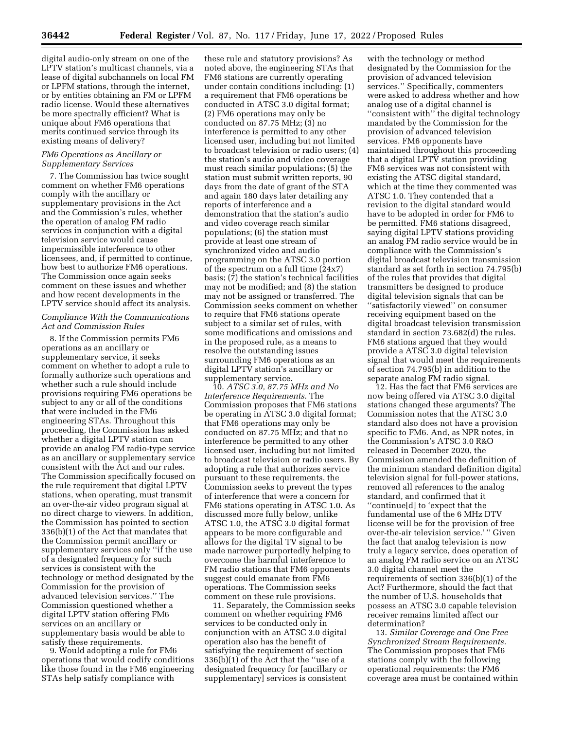digital audio-only stream on one of the LPTV station's multicast channels, via a lease of digital subchannels on local FM or LPFM stations, through the internet, or by entities obtaining an FM or LPFM radio license. Would these alternatives be more spectrally efficient? What is unique about FM6 operations that merits continued service through its existing means of delivery?

#### *FM6 Operations as Ancillary or Supplementary Services*

7. The Commission has twice sought comment on whether FM6 operations comply with the ancillary or supplementary provisions in the Act and the Commission's rules, whether the operation of analog FM radio services in conjunction with a digital television service would cause impermissible interference to other licensees, and, if permitted to continue, how best to authorize FM6 operations. The Commission once again seeks comment on these issues and whether and how recent developments in the LPTV service should affect its analysis.

# *Compliance With the Communications Act and Commission Rules*

8. If the Commission permits FM6 operations as an ancillary or supplementary service, it seeks comment on whether to adopt a rule to formally authorize such operations and whether such a rule should include provisions requiring FM6 operations be subject to any or all of the conditions that were included in the FM6 engineering STAs. Throughout this proceeding, the Commission has asked whether a digital LPTV station can provide an analog FM radio-type service as an ancillary or supplementary service consistent with the Act and our rules. The Commission specifically focused on the rule requirement that digital LPTV stations, when operating, must transmit an over-the-air video program signal at no direct charge to viewers. In addition, the Commission has pointed to section 336(b)(1) of the Act that mandates that the Commission permit ancillary or supplementary services only ''if the use of a designated frequency for such services is consistent with the technology or method designated by the Commission for the provision of advanced television services.'' The Commission questioned whether a digital LPTV station offering FM6 services on an ancillary or supplementary basis would be able to satisfy these requirements.

9. Would adopting a rule for FM6 operations that would codify conditions like those found in the FM6 engineering STAs help satisfy compliance with

these rule and statutory provisions? As noted above, the engineering STAs that FM6 stations are currently operating under contain conditions including: (1) a requirement that FM6 operations be conducted in ATSC 3.0 digital format; (2) FM6 operations may only be conducted on 87.75 MHz; (3) no interference is permitted to any other licensed user, including but not limited to broadcast television or radio users; (4) the station's audio and video coverage must reach similar populations; (5) the station must submit written reports, 90 days from the date of grant of the STA and again 180 days later detailing any reports of interference and a demonstration that the station's audio and video coverage reach similar populations; (6) the station must provide at least one stream of synchronized video and audio programming on the ATSC 3.0 portion of the spectrum on a full time (24x7) basis; (7) the station's technical facilities may not be modified; and (8) the station may not be assigned or transferred. The Commission seeks comment on whether to require that FM6 stations operate subject to a similar set of rules, with some modifications and omissions and in the proposed rule, as a means to resolve the outstanding issues surrounding FM6 operations as an digital LPTV station's ancillary or supplementary service.

10. *ATSC 3.0, 87.75 MHz and No Interference Requirements.* The Commission proposes that FM6 stations be operating in ATSC 3.0 digital format; that FM6 operations may only be conducted on 87.75 MHz; and that no interference be permitted to any other licensed user, including but not limited to broadcast television or radio users. By adopting a rule that authorizes service pursuant to these requirements, the Commission seeks to prevent the types of interference that were a concern for FM6 stations operating in ATSC 1.0. As discussed more fully below, unlike ATSC 1.0, the ATSC 3.0 digital format appears to be more configurable and allows for the digital TV signal to be made narrower purportedly helping to overcome the harmful interference to FM radio stations that FM6 opponents suggest could emanate from FM6 operations. The Commission seeks comment on these rule provisions.

11. Separately, the Commission seeks comment on whether requiring FM6 services to be conducted only in conjunction with an ATSC 3.0 digital operation also has the benefit of satisfying the requirement of section 336(b)(1) of the Act that the ''use of a designated frequency for [ancillary or supplementary] services is consistent

with the technology or method designated by the Commission for the provision of advanced television services.'' Specifically, commenters were asked to address whether and how analog use of a digital channel is ''consistent with'' the digital technology mandated by the Commission for the provision of advanced television services. FM6 opponents have maintained throughout this proceeding that a digital LPTV station providing FM6 services was not consistent with existing the ATSC digital standard, which at the time they commented was ATSC 1.0. They contended that a revision to the digital standard would have to be adopted in order for FM6 to be permitted. FM6 stations disagreed, saying digital LPTV stations providing an analog FM radio service would be in compliance with the Commission's digital broadcast television transmission standard as set forth in section 74.795(b) of the rules that provides that digital transmitters be designed to produce digital television signals that can be ''satisfactorily viewed'' on consumer receiving equipment based on the digital broadcast television transmission standard in section 73.682(d) the rules. FM6 stations argued that they would provide a ATSC 3.0 digital television signal that would meet the requirements of section 74.795(b) in addition to the separate analog FM radio signal.

12. Has the fact that FM6 services are now being offered via ATSC 3.0 digital stations changed these arguments? The Commission notes that the ATSC 3.0 standard also does not have a provision specific to FM6. And, as NPR notes, in the Commission's ATSC 3.0 R&O released in December 2020, the Commission amended the definition of the minimum standard definition digital television signal for full-power stations, removed all references to the analog standard, and confirmed that it ''continue[d] to 'expect that the fundamental use of the 6 MHz DTV license will be for the provision of free over-the-air television service.' '' Given the fact that analog television is now truly a legacy service, does operation of an analog FM radio service on an ATSC 3.0 digital channel meet the requirements of section 336(b)(1) of the Act? Furthermore, should the fact that the number of U.S. households that possess an ATSC 3.0 capable television receiver remains limited affect our determination?

13. *Similar Coverage and One Free Synchronized Stream Requirements.*  The Commission proposes that FM6 stations comply with the following operational requirements: the FM6 coverage area must be contained within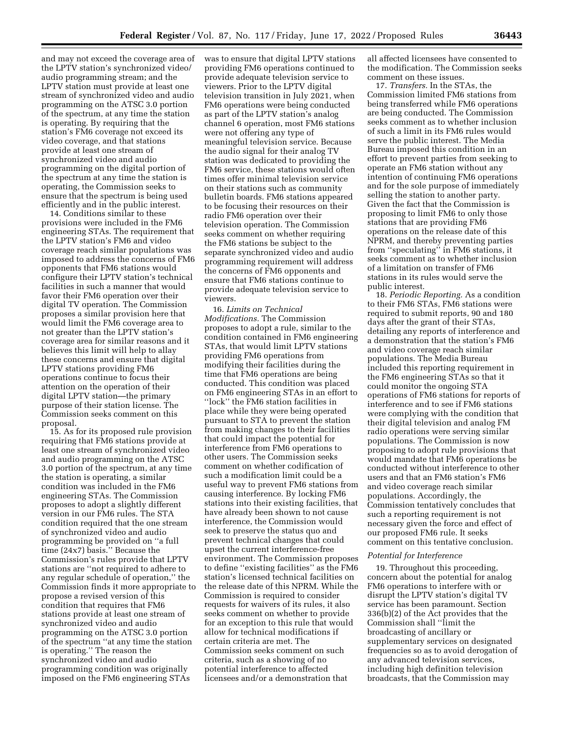and may not exceed the coverage area of the LPTV station's synchronized video/ audio programming stream; and the LPTV station must provide at least one stream of synchronized video and audio programming on the ATSC 3.0 portion of the spectrum, at any time the station is operating. By requiring that the station's FM6 coverage not exceed its video coverage, and that stations provide at least one stream of synchronized video and audio programming on the digital portion of the spectrum at any time the station is operating, the Commission seeks to ensure that the spectrum is being used efficiently and in the public interest.

14. Conditions similar to these provisions were included in the FM6 engineering STAs. The requirement that the LPTV station's FM6 and video coverage reach similar populations was imposed to address the concerns of FM6 opponents that FM6 stations would configure their LPTV station's technical facilities in such a manner that would favor their FM6 operation over their digital TV operation. The Commission proposes a similar provision here that would limit the FM6 coverage area to not greater than the LPTV station's coverage area for similar reasons and it believes this limit will help to allay these concerns and ensure that digital LPTV stations providing FM6 operations continue to focus their attention on the operation of their digital LPTV station—the primary purpose of their station license. The Commission seeks comment on this proposal.

15. As for its proposed rule provision requiring that FM6 stations provide at least one stream of synchronized video and audio programming on the ATSC 3.0 portion of the spectrum, at any time the station is operating, a similar condition was included in the FM6 engineering STAs. The Commission proposes to adopt a slightly different version in our FM6 rules. The STA condition required that the one stream of synchronized video and audio programming be provided on ''a full time (24x7) basis.'' Because the Commission's rules provide that LPTV stations are ''not required to adhere to any regular schedule of operation,'' the Commission finds it more appropriate to propose a revised version of this condition that requires that FM6 stations provide at least one stream of synchronized video and audio programming on the ATSC 3.0 portion of the spectrum ''at any time the station is operating.'' The reason the synchronized video and audio programming condition was originally imposed on the FM6 engineering STAs

was to ensure that digital LPTV stations providing FM6 operations continued to provide adequate television service to viewers. Prior to the LPTV digital television transition in July 2021, when FM6 operations were being conducted as part of the LPTV station's analog channel 6 operation, most FM6 stations were not offering any type of meaningful television service. Because the audio signal for their analog TV station was dedicated to providing the FM6 service, these stations would often times offer minimal television service on their stations such as community bulletin boards. FM6 stations appeared to be focusing their resources on their radio FM6 operation over their television operation. The Commission seeks comment on whether requiring the FM6 stations be subject to the separate synchronized video and audio programming requirement will address the concerns of FM6 opponents and ensure that FM6 stations continue to provide adequate television service to viewers.

16. *Limits on Technical Modifications.* The Commission proposes to adopt a rule, similar to the condition contained in FM6 engineering STAs, that would limit LPTV stations providing FM6 operations from modifying their facilities during the time that FM6 operations are being conducted. This condition was placed on FM6 engineering STAs in an effort to ''lock'' the FM6 station facilities in place while they were being operated pursuant to STA to prevent the station from making changes to their facilities that could impact the potential for interference from FM6 operations to other users. The Commission seeks comment on whether codification of such a modification limit could be a useful way to prevent FM6 stations from causing interference. By locking FM6 stations into their existing facilities, that have already been shown to not cause interference, the Commission would seek to preserve the status quo and prevent technical changes that could upset the current interference-free environment. The Commission proposes to define ''existing facilities'' as the FM6 station's licensed technical facilities on the release date of this NPRM. While the Commission is required to consider requests for waivers of its rules, it also seeks comment on whether to provide for an exception to this rule that would allow for technical modifications if certain criteria are met. The Commission seeks comment on such criteria, such as a showing of no potential interference to affected licensees and/or a demonstration that

all affected licensees have consented to the modification. The Commission seeks comment on these issues.

17. *Transfers.* In the STAs, the Commission limited FM6 stations from being transferred while FM6 operations are being conducted. The Commission seeks comment as to whether inclusion of such a limit in its FM6 rules would serve the public interest. The Media Bureau imposed this condition in an effort to prevent parties from seeking to operate an FM6 station without any intention of continuing FM6 operations and for the sole purpose of immediately selling the station to another party. Given the fact that the Commission is proposing to limit FM6 to only those stations that are providing FM6 operations on the release date of this NPRM, and thereby preventing parties from ''speculating'' in FM6 stations, it seeks comment as to whether inclusion of a limitation on transfer of FM6 stations in its rules would serve the public interest.

18. *Periodic Reporting.* As a condition to their FM6 STAs, FM6 stations were required to submit reports, 90 and 180 days after the grant of their STAs, detailing any reports of interference and a demonstration that the station's FM6 and video coverage reach similar populations. The Media Bureau included this reporting requirement in the FM6 engineering STAs so that it could monitor the ongoing STA operations of FM6 stations for reports of interference and to see if FM6 stations were complying with the condition that their digital television and analog FM radio operations were serving similar populations. The Commission is now proposing to adopt rule provisions that would mandate that FM6 operations be conducted without interference to other users and that an FM6 station's FM6 and video coverage reach similar populations. Accordingly, the Commission tentatively concludes that such a reporting requirement is not necessary given the force and effect of our proposed FM6 rule. It seeks comment on this tentative conclusion.

#### *Potential for Interference*

19. Throughout this proceeding, concern about the potential for analog FM6 operations to interfere with or disrupt the LPTV station's digital TV service has been paramount. Section 336(b)(2) of the Act provides that the Commission shall ''limit the broadcasting of ancillary or supplementary services on designated frequencies so as to avoid derogation of any advanced television services, including high definition television broadcasts, that the Commission may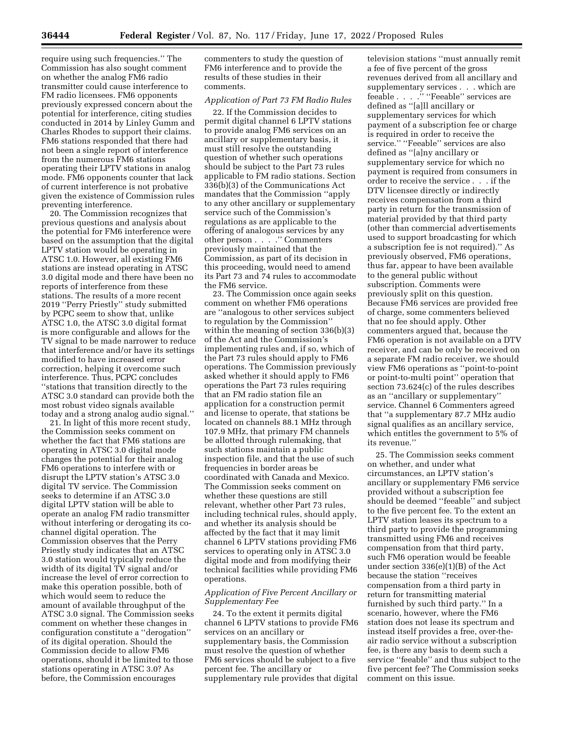require using such frequencies.'' The Commission has also sought comment on whether the analog FM6 radio transmitter could cause interference to FM radio licensees. FM6 opponents previously expressed concern about the potential for interference, citing studies conducted in 2014 by Linley Gumm and Charles Rhodes to support their claims. FM6 stations responded that there had not been a single report of interference from the numerous FM6 stations operating their LPTV stations in analog mode. FM6 opponents counter that lack of current interference is not probative given the existence of Commission rules preventing interference.

20. The Commission recognizes that previous questions and analysis about the potential for FM6 interference were based on the assumption that the digital LPTV station would be operating in ATSC 1.0. However, all existing FM6 stations are instead operating in ATSC 3.0 digital mode and there have been no reports of interference from these stations. The results of a more recent 2019 ''Perry Priestly'' study submitted by PCPC seem to show that, unlike ATSC 1.0, the ATSC 3.0 digital format is more configurable and allows for the TV signal to be made narrower to reduce that interference and/or have its settings modified to have increased error correction, helping it overcome such interference. Thus, PCPC concludes ''stations that transition directly to the ATSC 3.0 standard can provide both the most robust video signals available today and a strong analog audio signal.''

21. In light of this more recent study, the Commission seeks comment on whether the fact that FM6 stations are operating in ATSC 3.0 digital mode changes the potential for their analog FM6 operations to interfere with or disrupt the LPTV station's ATSC 3.0 digital TV service. The Commission seeks to determine if an ATSC 3.0 digital LPTV station will be able to operate an analog FM radio transmitter without interfering or derogating its cochannel digital operation. The Commission observes that the Perry Priestly study indicates that an ATSC 3.0 station would typically reduce the width of its digital TV signal and/or increase the level of error correction to make this operation possible, both of which would seem to reduce the amount of available throughput of the ATSC 3.0 signal. The Commission seeks comment on whether these changes in configuration constitute a ''derogation'' of its digital operation. Should the Commission decide to allow FM6 operations, should it be limited to those stations operating in ATSC 3.0? As before, the Commission encourages

commenters to study the question of FM6 interference and to provide the results of these studies in their comments.

# *Application of Part 73 FM Radio Rules*

22. If the Commission decides to permit digital channel 6 LPTV stations to provide analog FM6 services on an ancillary or supplementary basis, it must still resolve the outstanding question of whether such operations should be subject to the Part 73 rules applicable to FM radio stations. Section 336(b)(3) of the Communications Act mandates that the Commission ''apply to any other ancillary or supplementary service such of the Commission's regulations as are applicable to the offering of analogous services by any other person . . . .'' Commenters previously maintained that the Commission, as part of its decision in this proceeding, would need to amend its Part 73 and 74 rules to accommodate the FM6 service.

23. The Commission once again seeks comment on whether FM6 operations are ''analogous to other services subject to regulation by the Commission'' within the meaning of section 336(b)(3) of the Act and the Commission's implementing rules and, if so, which of the Part 73 rules should apply to FM6 operations. The Commission previously asked whether it should apply to FM6 operations the Part 73 rules requiring that an FM radio station file an application for a construction permit and license to operate, that stations be located on channels 88.1 MHz through 107.9 MHz, that primary FM channels be allotted through rulemaking, that such stations maintain a public inspection file, and that the use of such frequencies in border areas be coordinated with Canada and Mexico. The Commission seeks comment on whether these questions are still relevant, whether other Part 73 rules, including technical rules, should apply, and whether its analysis should be affected by the fact that it may limit channel 6 LPTV stations providing FM6 services to operating only in ATSC 3.0 digital mode and from modifying their technical facilities while providing FM6 operations.

## *Application of Five Percent Ancillary or Supplementary Fee*

24. To the extent it permits digital channel 6 LPTV stations to provide FM6 services on an ancillary or supplementary basis, the Commission must resolve the question of whether FM6 services should be subject to a five percent fee. The ancillary or supplementary rule provides that digital

television stations ''must annually remit a fee of five percent of the gross revenues derived from all ancillary and supplementary services . . . which are feeable . . . ." "Feeable" services are defined as ''[a]ll ancillary or supplementary services for which payment of a subscription fee or charge is required in order to receive the service." "Feeable" services are also defined as ''[a]ny ancillary or supplementary service for which no payment is required from consumers in order to receive the service . . . if the DTV licensee directly or indirectly receives compensation from a third party in return for the transmission of material provided by that third party (other than commercial advertisements used to support broadcasting for which a subscription fee is not required).'' As previously observed, FM6 operations, thus far, appear to have been available to the general public without subscription. Comments were previously split on this question. Because FM6 services are provided free of charge, some commenters believed that no fee should apply. Other commenters argued that, because the FM6 operation is not available on a DTV receiver, and can be only be received on a separate FM radio receiver, we should view FM6 operations as ''point-to-point or point-to-multi point'' operation that section 73.624(c) of the rules describes as an ''ancillary or supplementary'' service. Channel 6 Commenters agreed that ''a supplementary 87.7 MHz audio signal qualifies as an ancillary service, which entitles the government to 5% of its revenue.''

25. The Commission seeks comment on whether, and under what circumstances, an LPTV station's ancillary or supplementary FM6 service provided without a subscription fee should be deemed "feeable" and subject to the five percent fee. To the extent an LPTV station leases its spectrum to a third party to provide the programming transmitted using FM6 and receives compensation from that third party, such FM6 operation would be feeable under section 336(e)(1)(B) of the Act because the station ''receives compensation from a third party in return for transmitting material furnished by such third party.'' In a scenario, however, where the FM6 station does not lease its spectrum and instead itself provides a free, over-theair radio service without a subscription fee, is there any basis to deem such a service ''feeable'' and thus subject to the five percent fee? The Commission seeks comment on this issue.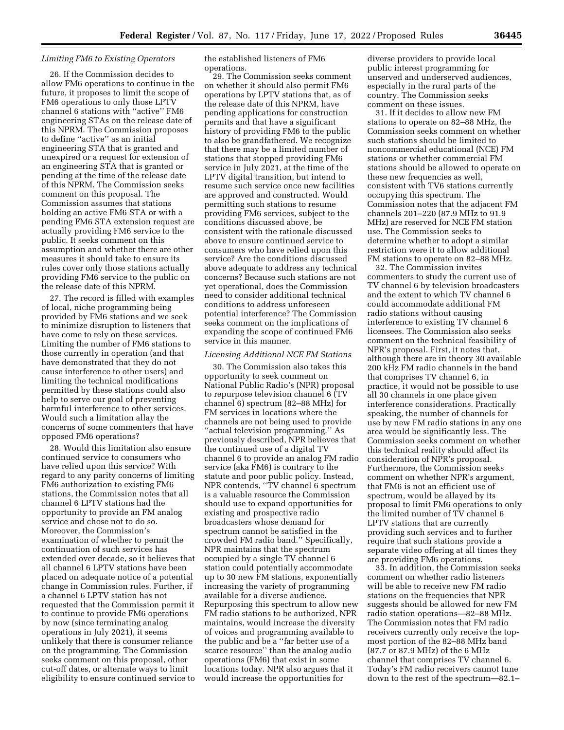### *Limiting FM6 to Existing Operators*

26. If the Commission decides to allow FM6 operations to continue in the future, it proposes to limit the scope of FM6 operations to only those LPTV channel 6 stations with ''active'' FM6 engineering STAs on the release date of this NPRM. The Commission proposes to define ''active'' as an initial engineering STA that is granted and unexpired or a request for extension of an engineering STA that is granted or pending at the time of the release date of this NPRM. The Commission seeks comment on this proposal. The Commission assumes that stations holding an active FM6 STA or with a pending FM6 STA extension request are actually providing FM6 service to the public. It seeks comment on this assumption and whether there are other measures it should take to ensure its rules cover only those stations actually providing FM6 service to the public on the release date of this NPRM.

27. The record is filled with examples of local, niche programming being provided by FM6 stations and we seek to minimize disruption to listeners that have come to rely on these services. Limiting the number of FM6 stations to those currently in operation (and that have demonstrated that they do not cause interference to other users) and limiting the technical modifications permitted by these stations could also help to serve our goal of preventing harmful interference to other services. Would such a limitation allay the concerns of some commenters that have opposed FM6 operations?

28. Would this limitation also ensure continued service to consumers who have relied upon this service? With regard to any parity concerns of limiting FM6 authorization to existing FM6 stations, the Commission notes that all channel 6 LPTV stations had the opportunity to provide an FM analog service and chose not to do so. Moreover, the Commission's examination of whether to permit the continuation of such services has extended over decade, so it believes that all channel 6 LPTV stations have been placed on adequate notice of a potential change in Commission rules. Further, if a channel 6 LPTV station has not requested that the Commission permit it to continue to provide FM6 operations by now (since terminating analog operations in July 2021), it seems unlikely that there is consumer reliance on the programming. The Commission seeks comment on this proposal, other cut-off dates, or alternate ways to limit eligibility to ensure continued service to

the established listeners of FM6 operations.

29. The Commission seeks comment on whether it should also permit FM6 operations by LPTV stations that, as of the release date of this NPRM, have pending applications for construction permits and that have a significant history of providing FM6 to the public to also be grandfathered. We recognize that there may be a limited number of stations that stopped providing FM6 service in July 2021, at the time of the LPTV digital transition, but intend to resume such service once new facilities are approved and constructed. Would permitting such stations to resume providing FM6 services, subject to the conditions discussed above, be consistent with the rationale discussed above to ensure continued service to consumers who have relied upon this service? Are the conditions discussed above adequate to address any technical concerns? Because such stations are not yet operational, does the Commission need to consider additional technical conditions to address unforeseen potential interference? The Commission seeks comment on the implications of expanding the scope of continued FM6 service in this manner.

#### *Licensing Additional NCE FM Stations*

30. The Commission also takes this opportunity to seek comment on National Public Radio's (NPR) proposal to repurpose television channel 6 (TV channel 6) spectrum (82–88 MHz) for FM services in locations where the channels are not being used to provide ''actual television programming.'' As previously described, NPR believes that the continued use of a digital TV channel 6 to provide an analog FM radio service (aka FM6) is contrary to the statute and poor public policy. Instead, NPR contends, ''TV channel 6 spectrum is a valuable resource the Commission should use to expand opportunities for existing and prospective radio broadcasters whose demand for spectrum cannot be satisfied in the crowded FM radio band.'' Specifically, NPR maintains that the spectrum occupied by a single TV channel 6 station could potentially accommodate up to 30 new FM stations, exponentially increasing the variety of programming available for a diverse audience. Repurposing this spectrum to allow new FM radio stations to be authorized, NPR maintains, would increase the diversity of voices and programming available to the public and be a ''far better use of a scarce resource'' than the analog audio operations (FM6) that exist in some locations today. NPR also argues that it would increase the opportunities for

diverse providers to provide local public interest programming for unserved and underserved audiences, especially in the rural parts of the country. The Commission seeks comment on these issues.

31. If it decides to allow new FM stations to operate on 82–88 MHz, the Commission seeks comment on whether such stations should be limited to noncommercial educational (NCE) FM stations or whether commercial FM stations should be allowed to operate on these new frequencies as well, consistent with TV6 stations currently occupying this spectrum. The Commission notes that the adjacent FM channels 201–220 (87.9 MHz to 91.9 MHz) are reserved for NCE FM station use. The Commission seeks to determine whether to adopt a similar restriction were it to allow additional FM stations to operate on 82–88 MHz.

32. The Commission invites commenters to study the current use of TV channel 6 by television broadcasters and the extent to which TV channel 6 could accommodate additional FM radio stations without causing interference to existing TV channel 6 licensees. The Commission also seeks comment on the technical feasibility of NPR's proposal. First, it notes that, although there are in theory 30 available 200 kHz FM radio channels in the band that comprises TV channel 6, in practice, it would not be possible to use all 30 channels in one place given interference considerations. Practically speaking, the number of channels for use by new FM radio stations in any one area would be significantly less. The Commission seeks comment on whether this technical reality should affect its consideration of NPR's proposal. Furthermore, the Commission seeks comment on whether NPR's argument, that FM6 is not an efficient use of spectrum, would be allayed by its proposal to limit FM6 operations to only the limited number of TV channel 6 LPTV stations that are currently providing such services and to further require that such stations provide a separate video offering at all times they are providing FM6 operations.

33. In addition, the Commission seeks comment on whether radio listeners will be able to receive new FM radio stations on the frequencies that NPR suggests should be allowed for new FM radio station operations—82–88 MHz. The Commission notes that FM radio receivers currently only receive the topmost portion of the 82–88 MHz band (87.7 or 87.9 MHz) of the 6 MHz channel that comprises TV channel 6. Today's FM radio receivers cannot tune down to the rest of the spectrum—82.1–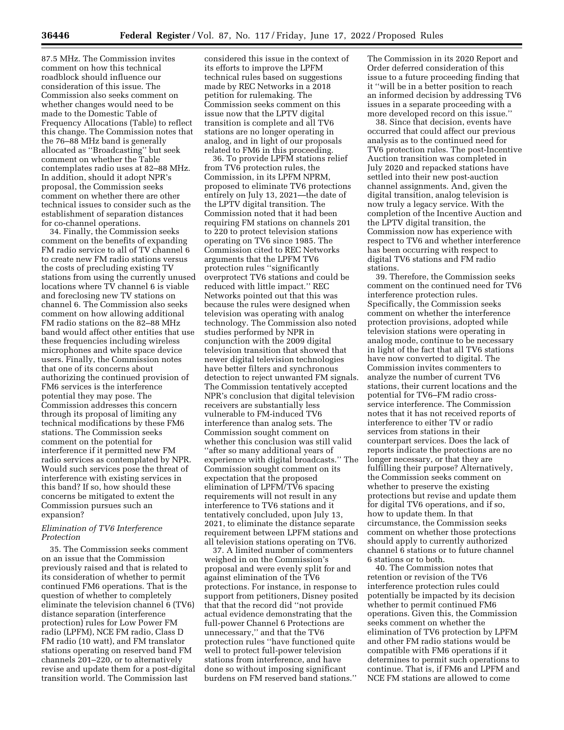87.5 MHz. The Commission invites comment on how this technical roadblock should influence our consideration of this issue. The Commission also seeks comment on whether changes would need to be made to the Domestic Table of Frequency Allocations (Table) to reflect this change. The Commission notes that the 76–88 MHz band is generally allocated as ''Broadcasting'' but seek comment on whether the Table contemplates radio uses at 82–88 MHz. In addition, should it adopt NPR's proposal, the Commission seeks comment on whether there are other technical issues to consider such as the establishment of separation distances for co-channel operations.

34. Finally, the Commission seeks comment on the benefits of expanding FM radio service to all of TV channel 6 to create new FM radio stations versus the costs of precluding existing TV stations from using the currently unused locations where TV channel 6 is viable and foreclosing new TV stations on channel 6. The Commission also seeks comment on how allowing additional FM radio stations on the 82–88 MHz band would affect other entities that use these frequencies including wireless microphones and white space device users. Finally, the Commission notes that one of its concerns about authorizing the continued provision of FM6 services is the interference potential they may pose. The Commission addresses this concern through its proposal of limiting any technical modifications by these FM6 stations. The Commission seeks comment on the potential for interference if it permitted new FM radio services as contemplated by NPR. Would such services pose the threat of interference with existing services in this band? If so, how should these concerns be mitigated to extent the Commission pursues such an expansion?

# *Elimination of TV6 Interference Protection*

35. The Commission seeks comment on an issue that the Commission previously raised and that is related to its consideration of whether to permit continued FM6 operations. That is the question of whether to completely eliminate the television channel 6 (TV6) distance separation (interference protection) rules for Low Power FM radio (LPFM), NCE FM radio, Class D FM radio (10 watt), and FM translator stations operating on reserved band FM channels 201–220, or to alternatively revise and update them for a post-digital transition world. The Commission last

considered this issue in the context of its efforts to improve the LPFM technical rules based on suggestions made by REC Networks in a 2018 petition for rulemaking. The Commission seeks comment on this issue now that the LPTV digital transition is complete and all TV6 stations are no longer operating in analog, and in light of our proposals related to FM6 in this proceeding.

36. To provide LPFM stations relief from TV6 protection rules, the Commission, in its LPFM NPRM, proposed to eliminate TV6 protections entirely on July 13, 2021—the date of the LPTV digital transition. The Commission noted that it had been requiring FM stations on channels 201 to 220 to protect television stations operating on TV6 since 1985. The Commission cited to REC Networks arguments that the LPFM TV6 protection rules ''significantly overprotect TV6 stations and could be reduced with little impact.'' REC Networks pointed out that this was because the rules were designed when television was operating with analog technology. The Commission also noted studies performed by NPR in conjunction with the 2009 digital television transition that showed that newer digital television technologies have better filters and synchronous detection to reject unwanted FM signals. The Commission tentatively accepted NPR's conclusion that digital television receivers are substantially less vulnerable to FM-induced TV6 interference than analog sets. The Commission sought comment on whether this conclusion was still valid ''after so many additional years of experience with digital broadcasts.'' The Commission sought comment on its expectation that the proposed elimination of LPFM/TV6 spacing requirements will not result in any interference to TV6 stations and it tentatively concluded, upon July 13, 2021, to eliminate the distance separate requirement between LPFM stations and all television stations operating on TV6.

37. A limited number of commenters weighed in on the Commission's proposal and were evenly split for and against elimination of the TV6 protections. For instance, in response to support from petitioners, Disney posited that that the record did ''not provide actual evidence demonstrating that the full-power Channel 6 Protections are unnecessary,'' and that the TV6 protection rules ''have functioned quite well to protect full-power television stations from interference, and have done so without imposing significant burdens on FM reserved band stations.''

The Commission in its 2020 Report and Order deferred consideration of this issue to a future proceeding finding that it ''will be in a better position to reach an informed decision by addressing TV6 issues in a separate proceeding with a more developed record on this issue.''

38. Since that decision, events have occurred that could affect our previous analysis as to the continued need for TV6 protection rules. The post-Incentive Auction transition was completed in July 2020 and repacked stations have settled into their new post-auction channel assignments. And, given the digital transition, analog television is now truly a legacy service. With the completion of the Incentive Auction and the LPTV digital transition, the Commission now has experience with respect to TV6 and whether interference has been occurring with respect to digital TV6 stations and FM radio stations.

39. Therefore, the Commission seeks comment on the continued need for TV6 interference protection rules. Specifically, the Commission seeks comment on whether the interference protection provisions, adopted while television stations were operating in analog mode, continue to be necessary in light of the fact that all TV6 stations have now converted to digital. The Commission invites commenters to analyze the number of current TV6 stations, their current locations and the potential for TV6–FM radio crossservice interference. The Commission notes that it has not received reports of interference to either TV or radio services from stations in their counterpart services. Does the lack of reports indicate the protections are no longer necessary, or that they are fulfilling their purpose? Alternatively, the Commission seeks comment on whether to preserve the existing protections but revise and update them for digital TV6 operations, and if so, how to update them. In that circumstance, the Commission seeks comment on whether those protections should apply to currently authorized channel 6 stations or to future channel 6 stations or to both.

40. The Commission notes that retention or revision of the TV6 interference protection rules could potentially be impacted by its decision whether to permit continued FM6 operations. Given this, the Commission seeks comment on whether the elimination of TV6 protection by LPFM and other FM radio stations would be compatible with FM6 operations if it determines to permit such operations to continue. That is, if FM6 and LPFM and NCE FM stations are allowed to come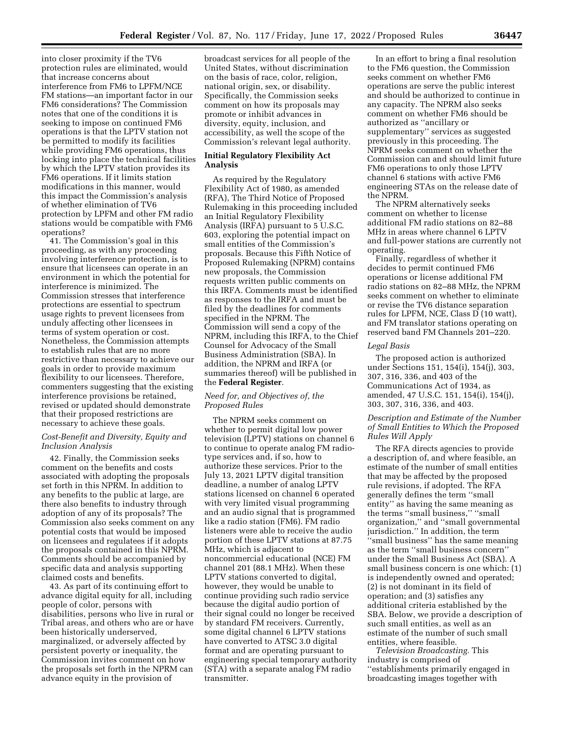into closer proximity if the TV6 protection rules are eliminated, would that increase concerns about interference from FM6 to LPFM/NCE FM stations—an important factor in our FM6 considerations? The Commission notes that one of the conditions it is seeking to impose on continued FM6 operations is that the LPTV station not be permitted to modify its facilities while providing FM6 operations, thus locking into place the technical facilities by which the LPTV station provides its FM6 operations. If it limits station modifications in this manner, would this impact the Commission's analysis of whether elimination of TV6 protection by LPFM and other FM radio stations would be compatible with FM6 operations?

41. The Commission's goal in this proceeding, as with any proceeding involving interference protection, is to ensure that licensees can operate in an environment in which the potential for interference is minimized. The Commission stresses that interference protections are essential to spectrum usage rights to prevent licensees from unduly affecting other licensees in terms of system operation or cost. Nonetheless, the Commission attempts to establish rules that are no more restrictive than necessary to achieve our goals in order to provide maximum flexibility to our licensees. Therefore, commenters suggesting that the existing interference provisions be retained, revised or updated should demonstrate that their proposed restrictions are necessary to achieve these goals.

### *Cost-Benefit and Diversity, Equity and Inclusion Analysis*

42. Finally, the Commission seeks comment on the benefits and costs associated with adopting the proposals set forth in this NPRM. In addition to any benefits to the public at large, are there also benefits to industry through adoption of any of its proposals? The Commission also seeks comment on any potential costs that would be imposed on licensees and regulatees if it adopts the proposals contained in this NPRM. Comments should be accompanied by specific data and analysis supporting claimed costs and benefits.

43. As part of its continuing effort to advance digital equity for all, including people of color, persons with disabilities, persons who live in rural or Tribal areas, and others who are or have been historically underserved, marginalized, or adversely affected by persistent poverty or inequality, the Commission invites comment on how the proposals set forth in the NPRM can advance equity in the provision of

broadcast services for all people of the United States, without discrimination on the basis of race, color, religion, national origin, sex, or disability. Specifically, the Commission seeks comment on how its proposals may promote or inhibit advances in diversity, equity, inclusion, and accessibility, as well the scope of the Commission's relevant legal authority.

# **Initial Regulatory Flexibility Act Analysis**

As required by the Regulatory Flexibility Act of 1980, as amended (RFA), The Third Notice of Proposed Rulemaking in this proceeding included an Initial Regulatory Flexibility Analysis (IRFA) pursuant to 5 U.S.C. 603, exploring the potential impact on small entities of the Commission's proposals. Because this Fifth Notice of Proposed Rulemaking (NPRM) contains new proposals, the Commission requests written public comments on this IRFA. Comments must be identified as responses to the IRFA and must be filed by the deadlines for comments specified in the NPRM. The Commission will send a copy of the NPRM, including this IRFA, to the Chief Counsel for Advocacy of the Small Business Administration (SBA). In addition, the NPRM and IRFA (or summaries thereof) will be published in the **Federal Register**.

# *Need for, and Objectives of, the Proposed Rules*

The NPRM seeks comment on whether to permit digital low power television (LPTV) stations on channel 6 to continue to operate analog FM radiotype services and, if so, how to authorize these services. Prior to the July 13, 2021 LPTV digital transition deadline, a number of analog LPTV stations licensed on channel 6 operated with very limited visual programming and an audio signal that is programmed like a radio station (FM6). FM radio listeners were able to receive the audio portion of these LPTV stations at 87.75 MHz, which is adjacent to noncommercial educational (NCE) FM channel 201 (88.1 MHz). When these LPTV stations converted to digital, however, they would be unable to continue providing such radio service because the digital audio portion of their signal could no longer be received by standard FM receivers. Currently, some digital channel 6 LPTV stations have converted to ATSC 3.0 digital format and are operating pursuant to engineering special temporary authority (STA) with a separate analog FM radio transmitter.

In an effort to bring a final resolution to the FM6 question, the Commission seeks comment on whether FM6 operations are serve the public interest and should be authorized to continue in any capacity. The NPRM also seeks comment on whether FM6 should be authorized as ''ancillary or supplementary'' services as suggested previously in this proceeding. The NPRM seeks comment on whether the Commission can and should limit future FM6 operations to only those LPTV channel 6 stations with active FM6 engineering STAs on the release date of the NPRM.

The NPRM alternatively seeks comment on whether to license additional FM radio stations on 82–88 MHz in areas where channel 6 LPTV and full-power stations are currently not operating.

Finally, regardless of whether it decides to permit continued FM6 operations or license additional FM radio stations on 82–88 MHz, the NPRM seeks comment on whether to eliminate or revise the TV6 distance separation rules for LPFM, NCE, Class D (10 watt), and FM translator stations operating on reserved band FM Channels 201–220.

### *Legal Basis*

The proposed action is authorized under Sections 151, 154(i), 154(j), 303, 307, 316, 336, and 403 of the Communications Act of 1934, as amended, 47 U.S.C. 151, 154(i), 154(j), 303, 307, 316, 336, and 403.

# *Description and Estimate of the Number of Small Entities to Which the Proposed Rules Will Apply*

The RFA directs agencies to provide a description of, and where feasible, an estimate of the number of small entities that may be affected by the proposed rule revisions, if adopted. The RFA generally defines the term ''small entity'' as having the same meaning as the terms ''small business,'' ''small organization,'' and ''small governmental jurisdiction.'' In addition, the term ''small business'' has the same meaning as the term ''small business concern'' under the Small Business Act (SBA). A small business concern is one which: (1) is independently owned and operated; (2) is not dominant in its field of operation; and (3) satisfies any additional criteria established by the SBA. Below, we provide a description of such small entities, as well as an estimate of the number of such small entities, where feasible.

*Television Broadcasting.* This industry is comprised of ''establishments primarily engaged in broadcasting images together with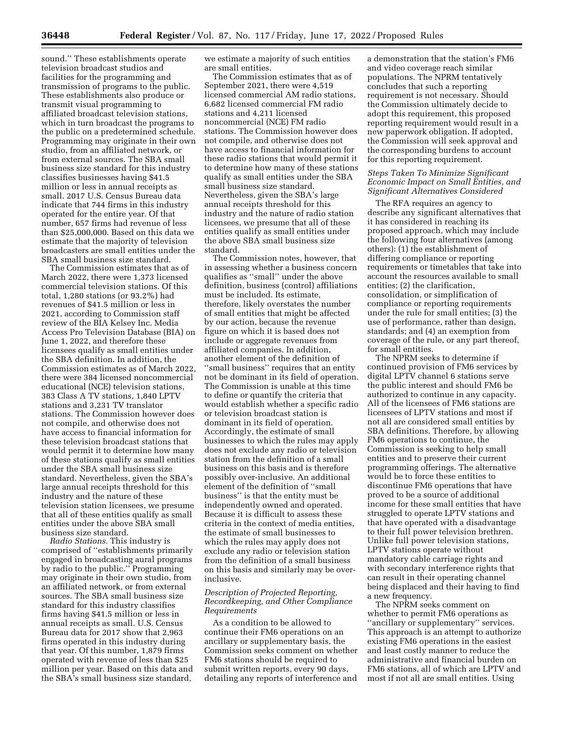sound.'' These establishments operate television broadcast studios and facilities for the programming and transmission of programs to the public. These establishments also produce or transmit visual programming to affiliated broadcast television stations, which in turn broadcast the programs to the public on a predetermined schedule. Programming may originate in their own studio, from an affiliated network, or from external sources. The SBA small business size standard for this industry classifies businesses having \$41.5 million or less in annual receipts as small. 2017 U.S. Census Bureau data indicate that 744 firms in this industry operated for the entire year. Of that number, 657 firms had revenue of less than \$25,000,000. Based on this data we estimate that the majority of television broadcasters are small entities under the SBA small business size standard.

The Commission estimates that as of March 2022, there were 1,373 licensed commercial television stations. Of this total, 1,280 stations (or 93.2%) had revenues of \$41.5 million or less in 2021, according to Commission staff review of the BIA Kelsey Inc. Media Access Pro Television Database (BIA) on June 1, 2022, and therefore these licensees qualify as small entities under the SBA definition. In addition, the Commission estimates as of March 2022, there were 384 licensed noncommercial educational (NCE) television stations, 383 Class A TV stations, 1,840 LPTV stations and 3,231 TV translator stations. The Commission however does not compile, and otherwise does not have access to financial information for these television broadcast stations that would permit it to determine how many of these stations qualify as small entities under the SBA small business size standard. Nevertheless, given the SBA's large annual receipts threshold for this industry and the nature of these television station licensees, we presume that all of these entities qualify as small entities under the above SBA small business size standard.

*Radio Stations.* This industry is comprised of ''establishments primarily engaged in broadcasting aural programs by radio to the public.'' Programming may originate in their own studio, from an affiliated network, or from external sources. The SBA small business size standard for this industry classifies firms having \$41.5 million or less in annual receipts as small. U.S. Census Bureau data for 2017 show that 2,963 firms operated in this industry during that year. Of this number, 1,879 firms operated with revenue of less than \$25 million per year. Based on this data and the SBA's small business size standard,

we estimate a majority of such entities are small entities.

The Commission estimates that as of September 2021, there were 4,519 licensed commercial AM radio stations, 6,682 licensed commercial FM radio stations and 4,211 licensed noncommercial (NCE) FM radio stations. The Commission however does not compile, and otherwise does not have access to financial information for these radio stations that would permit it to determine how many of these stations qualify as small entities under the SBA small business size standard. Nevertheless, given the SBA's large annual receipts threshold for this industry and the nature of radio station licensees, we presume that all of these entities qualify as small entities under the above SBA small business size standard.

The Commission notes, however, that in assessing whether a business concern qualifies as ''small'' under the above definition, business (control) affiliations must be included. Its estimate, therefore, likely overstates the number of small entities that might be affected by our action, because the revenue figure on which it is based does not include or aggregate revenues from affiliated companies. In addition, another element of the definition of ''small business'' requires that an entity not be dominant in its field of operation. The Commission is unable at this time to define or quantify the criteria that would establish whether a specific radio or television broadcast station is dominant in its field of operation. Accordingly, the estimate of small businesses to which the rules may apply does not exclude any radio or television station from the definition of a small business on this basis and is therefore possibly over-inclusive. An additional element of the definition of ''small business'' is that the entity must be independently owned and operated. Because it is difficult to assess these criteria in the context of media entities, the estimate of small businesses to which the rules may apply does not exclude any radio or television station from the definition of a small business on this basis and similarly may be overinclusive.

# *Description of Projected Reporting, Recordkeeping, and Other Compliance Requirements*

As a condition to be allowed to continue their FM6 operations on an ancillary or supplementary basis, the Commission seeks comment on whether FM6 stations should be required to submit written reports, every 90 days, detailing any reports of interference and

a demonstration that the station's FM6 and video coverage reach similar populations. The NPRM tentatively concludes that such a reporting requirement is not necessary. Should the Commission ultimately decide to adopt this requirement, this proposed reporting requirement would result in a new paperwork obligation. If adopted, the Commission will seek approval and the corresponding burdens to account for this reporting requirement.

# *Steps Taken To Minimize Significant Economic Impact on Small Entities, and Significant Alternatives Considered*

The RFA requires an agency to describe any significant alternatives that it has considered in reaching its proposed approach, which may include the following four alternatives (among others): (1) the establishment of differing compliance or reporting requirements or timetables that take into account the resources available to small entities; (2) the clarification, consolidation, or simplification of compliance or reporting requirements under the rule for small entities; (3) the use of performance, rather than design, standards; and (4) an exemption from coverage of the rule, or any part thereof, for small entities.

The NPRM seeks to determine if continued provision of FM6 services by digital LPTV channel 6 stations serve the public interest and should FM6 be authorized to continue in any capacity. All of the licensees of FM6 stations are licensees of LPTV stations and most if not all are considered small entities by SBA definitions. Therefore, by allowing FM6 operations to continue, the Commission is seeking to help small entities and to preserve their current programming offerings. The alternative would be to force these entities to discontinue FM6 operations that have proved to be a source of additional income for these small entities that have struggled to operate LPTV stations and that have operated with a disadvantage to their full power television brethren. Unlike full power television stations, LPTV stations operate without mandatory cable carriage rights and with secondary interference rights that can result in their operating channel being displaced and their having to find a new frequency.

The NPRM seeks comment on whether to permit FM6 operations as ''ancillary or supplementary'' services. This approach is an attempt to authorize existing FM6 operations in the easiest and least costly manner to reduce the administrative and financial burden on FM6 stations, all of which are LPTV and most if not all are small entities. Using